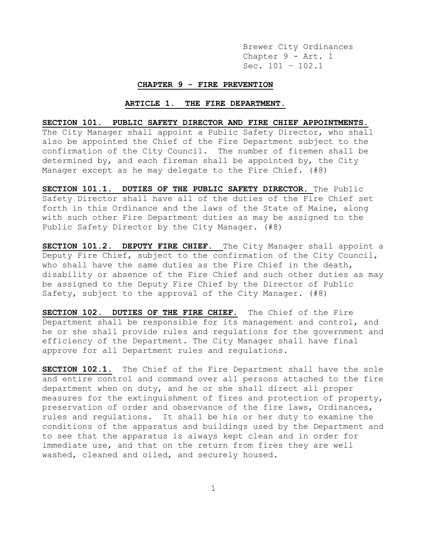Brewer City Ordinances Chapter 9 - Art. 1 Sec. 101 – 102.1

#### **CHAPTER 9 - FIRE PREVENTION**

# **ARTICLE 1. THE FIRE DEPARTMENT.**

# **SECTION 101. PUBLIC SAFETY DIRECTOR AND FIRE CHIEF APPOINTMENTS.**

The City Manager shall appoint a Public Safety Director, who shall also be appointed the Chief of the Fire Department subject to the confirmation of the City Council. The number of firemen shall be determined by, and each fireman shall be appointed by, the City Manager except as he may delegate to the Fire Chief. (#8)

**SECTION 101.1. DUTIES OF THE PUBLIC SAFETY DIRECTOR.** The Public Safety Director shall have all of the duties of the Fire Chief set forth in this Ordinance and the laws of the State of Maine, along with such other Fire Department duties as may be assigned to the Public Safety Director by the City Manager. (#8)

**SECTION 101.2. DEPUTY FIRE CHIEF.** The City Manager shall appoint a Deputy Fire Chief, subject to the confirmation of the City Council, who shall have the same duties as the Fire Chief in the death, disability or absence of the Fire Chief and such other duties as may be assigned to the Deputy Fire Chief by the Director of Public Safety, subject to the approval of the City Manager. (#8)

**SECTION 102. DUTIES OF THE FIRE CHIEF.** The Chief of the Fire Department shall be responsible for its management and control, and he or she shall provide rules and regulations for the government and efficiency of the Department. The City Manager shall have final approve for all Department rules and regulations.

**SECTION 102.1.** The Chief of the Fire Department shall have the sole and entire control and command over all persons attached to the fire department when on duty, and he or she shall direct all proper measures for the extinguishment of fires and protection of property, preservation of order and observance of the fire laws, Ordinances, rules and regulations. It shall be his or her duty to examine the conditions of the apparatus and buildings used by the Department and to see that the apparatus is always kept clean and in order for immediate use, and that on the return from fires they are well washed, cleaned and oiled, and securely housed.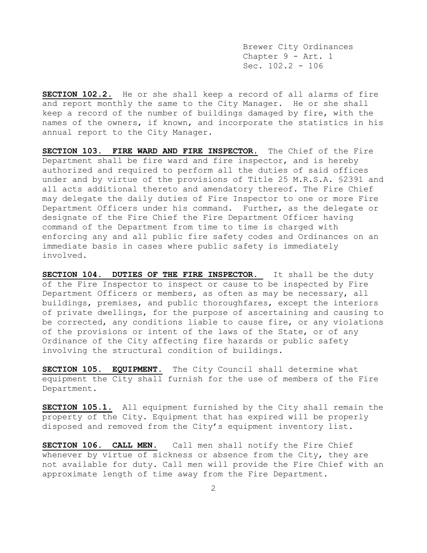Brewer City Ordinances Chapter 9 - Art. 1 Sec.  $102.2 - 106$ 

**SECTION 102.2.** He or she shall keep a record of all alarms of fire and report monthly the same to the City Manager. He or she shall keep a record of the number of buildings damaged by fire, with the names of the owners, if known, and incorporate the statistics in his annual report to the City Manager.

**SECTION 103. FIRE WARD AND FIRE INSPECTOR.** The Chief of the Fire Department shall be fire ward and fire inspector, and is hereby authorized and required to perform all the duties of said offices under and by virtue of the provisions of Title 25 M.R.S.A. §2391 and all acts additional thereto and amendatory thereof. The Fire Chief may delegate the daily duties of Fire Inspector to one or more Fire Department Officers under his command. Further, as the delegate or designate of the Fire Chief the Fire Department Officer having command of the Department from time to time is charged with enforcing any and all public fire safety codes and Ordinances on an immediate basis in cases where public safety is immediately involved.

**SECTION 104. DUTIES OF THE FIRE INSPECTOR.** It shall be the duty of the Fire Inspector to inspect or cause to be inspected by Fire Department Officers or members, as often as may be necessary, all buildings, premises, and public thoroughfares, except the interiors of private dwellings, for the purpose of ascertaining and causing to be corrected, any conditions liable to cause fire, or any violations of the provisions or intent of the laws of the State, or of any Ordinance of the City affecting fire hazards or public safety involving the structural condition of buildings.

**SECTION 105. EQUIPMENT.** The City Council shall determine what equipment the City shall furnish for the use of members of the Fire Department.

**SECTION 105.1.** All equipment furnished by the City shall remain the property of the City. Equipment that has expired will be properly disposed and removed from the City's equipment inventory list.

**SECTION 106. CALL MEN.** Call men shall notify the Fire Chief whenever by virtue of sickness or absence from the City, they are not available for duty*.* Call men will provide the Fire Chief with an approximate length of time away from the Fire Department.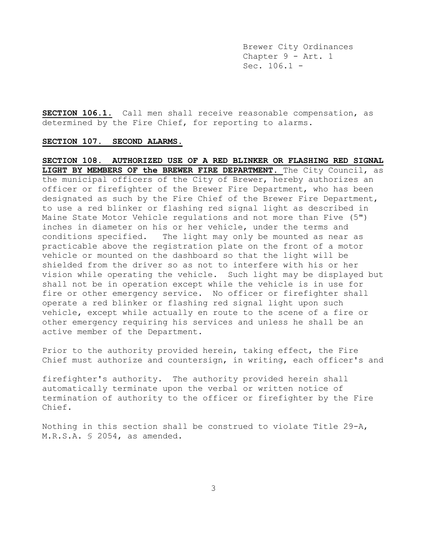Brewer City Ordinances Chapter 9 - Art. 1 Sec. 106.1 -

**SECTION 106.1.** Call men shall receive reasonable compensation, as determined by the Fire Chief, for reporting to alarms.

## **SECTION 107. SECOND ALARMS.**

**SECTION 108. AUTHORIZED USE OF A RED BLINKER OR FLASHING RED SIGNAL LIGHT BY MEMBERS OF the BREWER FIRE DEPARTMENT.** The City Council, as the municipal officers of the City of Brewer, hereby authorizes an officer or firefighter of the Brewer Fire Department, who has been designated as such by the Fire Chief of the Brewer Fire Department, to use a red blinker or flashing red signal light as described in Maine State Motor Vehicle regulations and not more than Five (5") inches in diameter on his or her vehicle, under the terms and conditions specified. The light may only be mounted as near as practicable above the registration plate on the front of a motor vehicle or mounted on the dashboard so that the light will be shielded from the driver so as not to interfere with his or her vision while operating the vehicle. Such light may be displayed but shall not be in operation except while the vehicle is in use for fire or other emergency service. No officer or firefighter shall operate a red blinker or flashing red signal light upon such vehicle, except while actually en route to the scene of a fire or other emergency requiring his services and unless he shall be an active member of the Department.

Prior to the authority provided herein, taking effect, the Fire Chief must authorize and countersign, in writing, each officer's and

firefighter's authority. The authority provided herein shall automatically terminate upon the verbal or written notice of termination of authority to the officer or firefighter by the Fire Chief.

Nothing in this section shall be construed to violate Title 29-A, M.R.S.A. § 2054, as amended.

3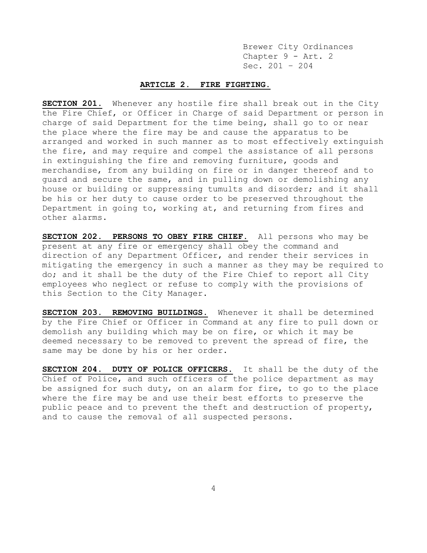Brewer City Ordinances Chapter 9 - Art. 2 Sec. 201 – 204

# **ARTICLE 2. FIRE FIGHTING.**

**SECTION 201.** Whenever any hostile fire shall break out in the City the Fire Chief, or Officer in Charge of said Department or person in charge of said Department for the time being, shall go to or near the place where the fire may be and cause the apparatus to be arranged and worked in such manner as to most effectively extinguish the fire, and may require and compel the assistance of all persons in extinguishing the fire and removing furniture, goods and merchandise, from any building on fire or in danger thereof and to guard and secure the same, and in pulling down or demolishing any house or building or suppressing tumults and disorder; and it shall be his or her duty to cause order to be preserved throughout the Department in going to, working at, and returning from fires and other alarms.

**SECTION 202. PERSONS TO OBEY FIRE CHIEF.** All persons who may be present at any fire or emergency shall obey the command and direction of any Department Officer, and render their services in mitigating the emergency in such a manner as they may be required to do; and it shall be the duty of the Fire Chief to report all City employees who neglect or refuse to comply with the provisions of this Section to the City Manager.

**SECTION 203. REMOVING BUILDINGS.** Whenever it shall be determined by the Fire Chief or Officer in Command at any fire to pull down or demolish any building which may be on fire, or which it may be deemed necessary to be removed to prevent the spread of fire, the same may be done by his or her order.

**SECTION 204. DUTY OF POLICE OFFICERS.** It shall be the duty of the Chief of Police, and such officers of the police department as may be assigned for such duty, on an alarm for fire, to go to the place where the fire may be and use their best efforts to preserve the public peace and to prevent the theft and destruction of property, and to cause the removal of all suspected persons.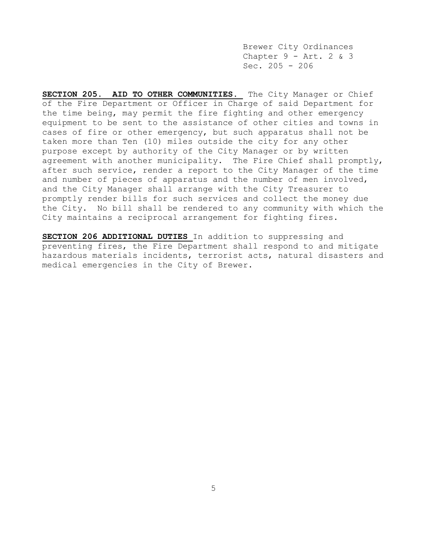Brewer City Ordinances Chapter  $9 - Art. 2 & 3$ Sec.  $205 - 206$ 

**SECTION 205. AID TO OTHER COMMUNITIES.** The City Manager or Chief of the Fire Department or Officer in Charge of said Department for the time being, may permit the fire fighting and other emergency equipment to be sent to the assistance of other cities and towns in cases of fire or other emergency, but such apparatus shall not be taken more than Ten (10) miles outside the city for any other purpose except by authority of the City Manager or by written agreement with another municipality. The Fire Chief shall promptly, after such service, render a report to the City Manager of the time and number of pieces of apparatus and the number of men involved, and the City Manager shall arrange with the City Treasurer to promptly render bills for such services and collect the money due the City. No bill shall be rendered to any community with which the City maintains a reciprocal arrangement for fighting fires.

**SECTION 206 ADDITIONAL DUTIES** In addition to suppressing and preventing fires, the Fire Department shall respond to and mitigate hazardous materials incidents, terrorist acts, natural disasters and medical emergencies in the City of Brewer.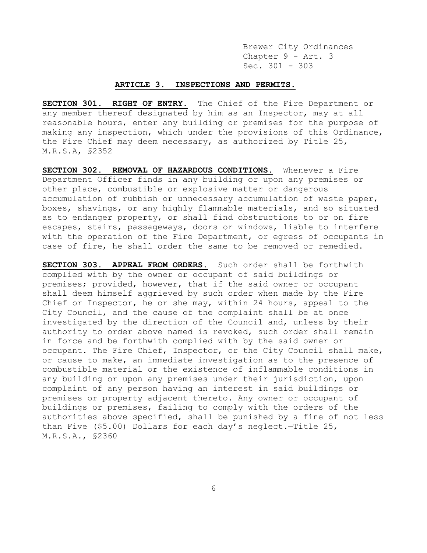Brewer City Ordinances Chapter 9 - Art. 3 Sec. 301 - 303

## **ARTICLE 3. INSPECTIONS AND PERMITS.**

**SECTION 301. RIGHT OF ENTRY.** The Chief of the Fire Department or any member thereof designated by him as an Inspector, may at all reasonable hours, enter any building or premises for the purpose of making any inspection, which under the provisions of this Ordinance, the Fire Chief may deem necessary, as authorized by Title 25, M.R.S.A, §2352

**SECTION 302. REMOVAL OF HAZARDOUS CONDITIONS.** Whenever a Fire Department Officer finds in any building or upon any premises or other place, combustible or explosive matter or dangerous accumulation of rubbish or unnecessary accumulation of waste paper, boxes, shavings, or any highly flammable materials, and so situated as to endanger property, or shall find obstructions to or on fire escapes, stairs, passageways, doors or windows, liable to interfere with the operation of the Fire Department, or egress of occupants in case of fire, he shall order the same to be removed or remedied.

**SECTION 303. APPEAL FROM ORDERS.** Such order shall be forthwith complied with by the owner or occupant of said buildings or premises; provided, however, that if the said owner or occupant shall deem himself aggrieved by such order when made by the Fire Chief or Inspector, he or she may, within 24 hours, appeal to the City Council, and the cause of the complaint shall be at once investigated by the direction of the Council and, unless by their authority to order above named is revoked, such order shall remain in force and be forthwith complied with by the said owner or occupant. The Fire Chief, Inspector, or the City Council shall make, or cause to make, an immediate investigation as to the presence of combustible material or the existence of inflammable conditions in any building or upon any premises under their jurisdiction, upon complaint of any person having an interest in said buildings or premises or property adjacent thereto. Any owner or occupant of buildings or premises, failing to comply with the orders of the authorities above specified, shall be punished by a fine of not less than Five (\$5.00) Dollars for each day's neglect.-Title 25, M.R.S.A., §2360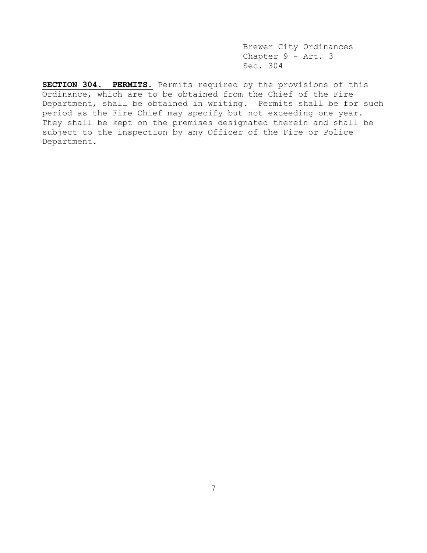Brewer City Ordinances Chapter 9 - Art. 3 Sec. 304

**SECTION 304. PERMITS.** Permits required by the provisions of this Ordinance, which are to be obtained from the Chief of the Fire Department, shall be obtained in writing. Permits shall be for such period as the Fire Chief may specify but not exceeding one year. They shall be kept on the premises designated therein and shall be subject to the inspection by any Officer of the Fire or Police Department.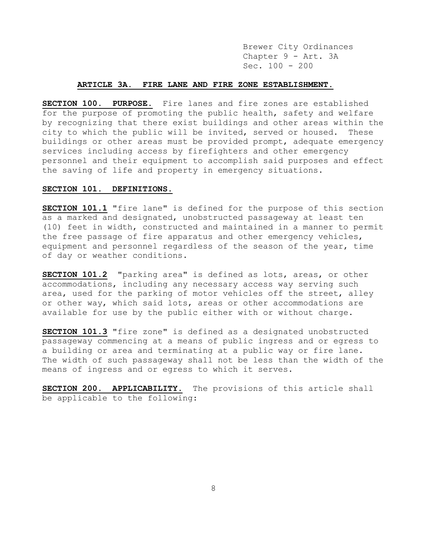Brewer City Ordinances Chapter 9 - Art. 3A Sec. 100 - 200

## **ARTICLE 3A. FIRE LANE AND FIRE ZONE ESTABLISHMENT.**

**SECTION 100. PURPOSE.** Fire lanes and fire zones are established for the purpose of promoting the public health, safety and welfare by recognizing that there exist buildings and other areas within the city to which the public will be invited, served or housed. These buildings or other areas must be provided prompt, adequate emergency services including access by firefighters and other emergency personnel and their equipment to accomplish said purposes and effect the saving of life and property in emergency situations.

### **SECTION 101. DEFINITIONS.**

**SECTION 101.1** "fire lane" is defined for the purpose of this section as a marked and designated, unobstructed passageway at least ten (10) feet in width, constructed and maintained in a manner to permit the free passage of fire apparatus and other emergency vehicles, equipment and personnel regardless of the season of the year, time of day or weather conditions.

**SECTION 101.2** "parking area" is defined as lots, areas, or other accommodations, including any necessary access way serving such area, used for the parking of motor vehicles off the street, alley or other way, which said lots, areas or other accommodations are available for use by the public either with or without charge.

**SECTION 101.3** "fire zone" is defined as a designated unobstructed passageway commencing at a means of public ingress and or egress to a building or area and terminating at a public way or fire lane. The width of such passageway shall not be less than the width of the means of ingress and or egress to which it serves.

**SECTION 200. APPLICABILITY.** The provisions of this article shall be applicable to the following: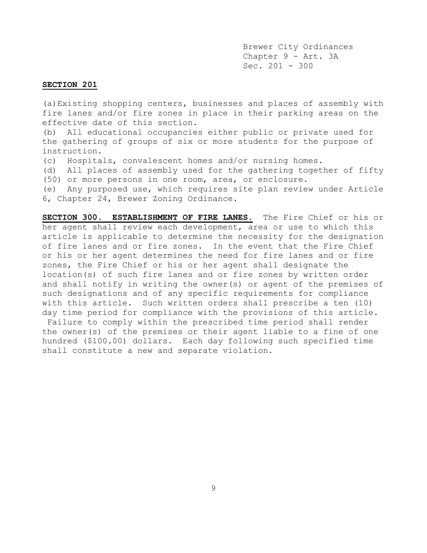Brewer City Ordinances Chapter 9 - Art. 3A Sec. 201 - 300

# **SECTION 201**

(a)Existing shopping centers, businesses and places of assembly with fire lanes and/or fire zones in place in their parking areas on the effective date of this section.

(b) All educational occupancies either public or private used for the gathering of groups of six or more students for the purpose of instruction.

(c) Hospitals, convalescent homes and/or nursing homes.

(d) All places of assembly used for the gathering together of fifty (50) or more persons in one room, area, or enclosure.

(e) Any purposed use, which requires site plan review under Article 6, Chapter 24, Brewer Zoning Ordinance.

**SECTION 300. ESTABLISHMENT OF FIRE LANES.** The Fire Chief or his or her agent shall review each development, area or use to which this article is applicable to determine the necessity for the designation of fire lanes and or fire zones. In the event that the Fire Chief or his or her agent determines the need for fire lanes and or fire zones, the Fire Chief or his or her agent shall designate the location(s) of such fire lanes and or fire zones by written order and shall notify in writing the owner(s) or agent of the premises of such designations and of any specific requirements for compliance with this article. Such written orders shall prescribe a ten (10) day time period for compliance with the provisions of this article. Failure to comply within the prescribed time period shall render the owner(s) of the premises or their agent liable to a fine of one hundred (\$100.00) dollars. Each day following such specified time shall constitute a new and separate violation.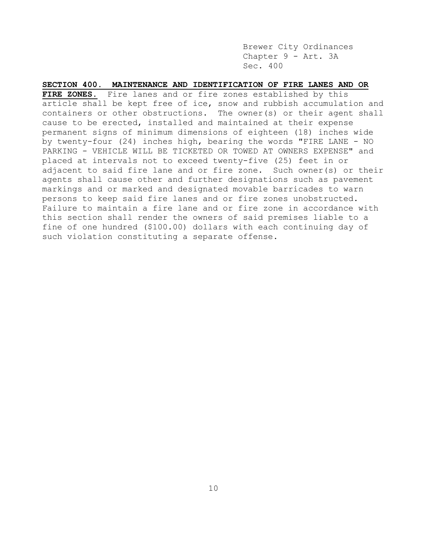Brewer City Ordinances Chapter 9 - Art. 3A Sec. 400

**SECTION 400. MAINTENANCE AND IDENTIFICATION OF FIRE LANES AND OR FIRE ZONES.** Fire lanes and or fire zones established by this article shall be kept free of ice, snow and rubbish accumulation and containers or other obstructions. The owner(s) or their agent shall cause to be erected, installed and maintained at their expense permanent signs of minimum dimensions of eighteen (18) inches wide by twenty-four (24) inches high, bearing the words "FIRE LANE - NO PARKING - VEHICLE WILL BE TICKETED OR TOWED AT OWNERS EXPENSE" and placed at intervals not to exceed twenty-five (25) feet in or adjacent to said fire lane and or fire zone. Such owner(s) or their agents shall cause other and further designations such as pavement markings and or marked and designated movable barricades to warn persons to keep said fire lanes and or fire zones unobstructed. Failure to maintain a fire lane and or fire zone in accordance with this section shall render the owners of said premises liable to a fine of one hundred (\$100.00) dollars with each continuing day of such violation constituting a separate offense.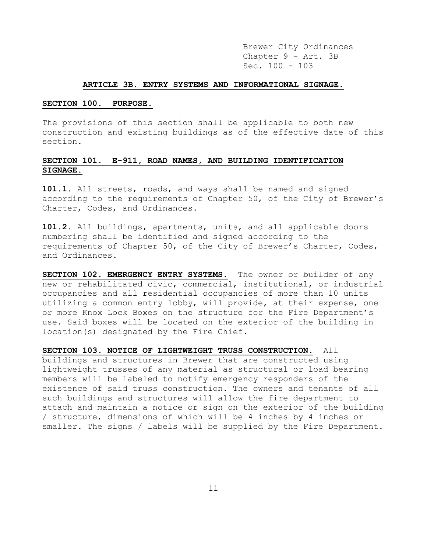Brewer City Ordinances Chapter 9 - Art. 3B Sec. 100 - 103

#### **ARTICLE 3B. ENTRY SYSTEMS AND INFORMATIONAL SIGNAGE.**

## **SECTION 100. PURPOSE.**

The provisions of this section shall be applicable to both new construction and existing buildings as of the effective date of this section.

# **SECTION 101. E-911, ROAD NAMES, AND BUILDING IDENTIFICATION SIGNAGE.**

**101.1.** All streets, roads, and ways shall be named and signed according to the requirements of Chapter 50, of the City of Brewer's Charter, Codes, and Ordinances.

**101.2.** All buildings, apartments, units, and all applicable doors numbering shall be identified and signed according to the requirements of Chapter 50, of the City of Brewer's Charter, Codes, and Ordinances.

**SECTION 102. EMERGENCY ENTRY SYSTEMS.** The owner or builder of any new or rehabilitated civic, commercial, institutional, or industrial occupancies and all residential occupancies of more than 10 units utilizing a common entry lobby, will provide, at their expense, one or more Knox Lock Boxes on the structure for the Fire Department's use. Said boxes will be located on the exterior of the building in location(s) designated by the Fire Chief.

**SECTION 103. NOTICE OF LIGHTWEIGHT TRUSS CONSTRUCTION.** All buildings and structures in Brewer that are constructed using lightweight trusses of any material as structural or load bearing members will be labeled to notify emergency responders of the existence of said truss construction. The owners and tenants of all such buildings and structures will allow the fire department to attach and maintain a notice or sign on the exterior of the building / structure, dimensions of which will be 4 inches by 4 inches or smaller. The signs / labels will be supplied by the Fire Department.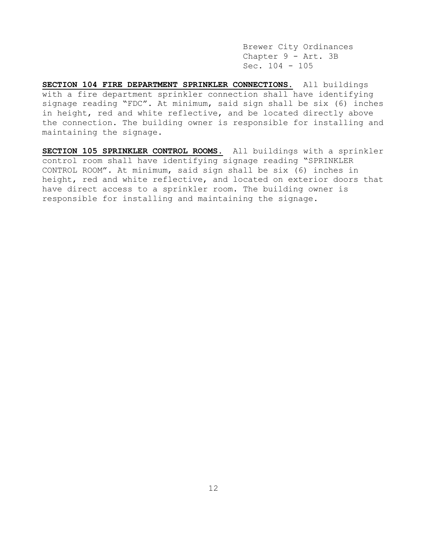Brewer City Ordinances Chapter 9 - Art. 3B Sec. 104 - 105

**SECTION 104 FIRE DEPARTMENT SPRINKLER CONNECTIONS.** All buildings with a fire department sprinkler connection shall have identifying signage reading "FDC". At minimum, said sign shall be six (6) inches in height, red and white reflective, and be located directly above the connection. The building owner is responsible for installing and maintaining the signage.

**SECTION 105 SPRINKLER CONTROL ROOMS.** All buildings with a sprinkler control room shall have identifying signage reading "SPRINKLER CONTROL ROOM". At minimum, said sign shall be six (6) inches in height, red and white reflective, and located on exterior doors that have direct access to a sprinkler room. The building owner is responsible for installing and maintaining the signage.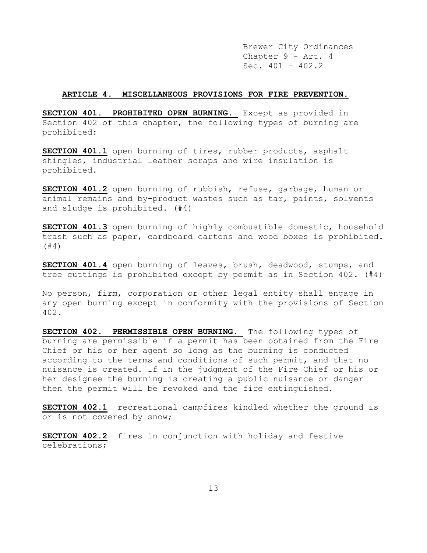Brewer City Ordinances Chapter 9 - Art. 4 Sec.  $401 - 402.2$ 

#### **ARTICLE 4. MISCELLANEOUS PROVISIONS FOR FIRE PREVENTION.**

**SECTION 401. PROHIBITED OPEN BURNING.** Except as provided in Section 402 of this chapter, the following types of burning are prohibited:

**SECTION 401.1** open burning of tires, rubber products, asphalt shingles, industrial leather scraps and wire insulation is prohibited.

**SECTION 401.2** open burning of rubbish, refuse, garbage, human or animal remains and by-product wastes such as tar, paints, solvents and sludge is prohibited. (#4)

**SECTION 401.3** open burning of highly combustible domestic, household trash such as paper, cardboard cartons and wood boxes is prohibited. (#4)

**SECTION 401.4** open burning of leaves, brush, deadwood, stumps, and tree cuttings is prohibited except by permit as in Section 402. (#4)

No person, firm, corporation or other legal entity shall engage in any open burning except in conformity with the provisions of Section 402.

**SECTION 402. PERMISSIBLE OPEN BURNING.** The following types of burning are permissible if a permit has been obtained from the Fire Chief or his or her agent so long as the burning is conducted according to the terms and conditions of such permit, and that no nuisance is created. If in the judgment of the Fire Chief or his or her designee the burning is creating a public nuisance or danger then the permit will be revoked and the fire extinguished.

**SECTION 402.1** recreational campfires kindled whether the ground is or is not covered by snow;

**SECTION 402.2** fires in conjunction with holiday and festive celebrations;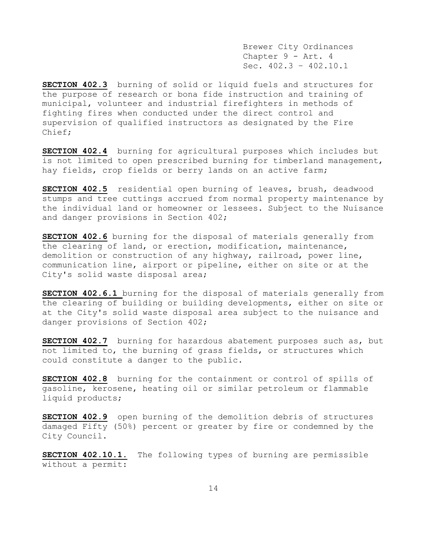Brewer City Ordinances Chapter 9 - Art. 4 Sec. 402.3 – 402.10.1

**SECTION 402.3** burning of solid or liquid fuels and structures for the purpose of research or bona fide instruction and training of municipal, volunteer and industrial firefighters in methods of fighting fires when conducted under the direct control and supervision of qualified instructors as designated by the Fire Chief;

**SECTION 402.4** burning for agricultural purposes which includes but is not limited to open prescribed burning for timberland management, hay fields, crop fields or berry lands on an active farm;

**SECTION 402.5** residential open burning of leaves, brush, deadwood stumps and tree cuttings accrued from normal property maintenance by the individual land or homeowner or lessees. Subject to the Nuisance and danger provisions in Section 402;

**SECTION 402.6** burning for the disposal of materials generally from the clearing of land, or erection, modification, maintenance, demolition or construction of any highway, railroad, power line, communication line, airport or pipeline, either on site or at the City's solid waste disposal area;

**SECTION 402.6.1** burning for the disposal of materials generally from the clearing of building or building developments, either on site or at the City's solid waste disposal area subject to the nuisance and danger provisions of Section 402;

**SECTION 402.7** burning for hazardous abatement purposes such as, but not limited to, the burning of grass fields, or structures which could constitute a danger to the public.

**SECTION 402.8** burning for the containment or control of spills of gasoline, kerosene, heating oil or similar petroleum or flammable liquid products;

**SECTION 402.9** open burning of the demolition debris of structures damaged Fifty (50%) percent or greater by fire or condemned by the City Council.

**SECTION 402.10.1.** The following types of burning are permissible without a permit: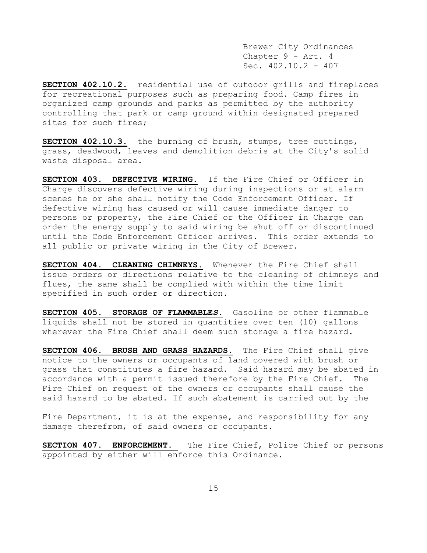Brewer City Ordinances Chapter 9 - Art. 4 Sec. 402.10.2 - 407

**SECTION 402.10.2.** residential use of outdoor grills and fireplaces for recreational purposes such as preparing food. Camp fires in organized camp grounds and parks as permitted by the authority controlling that park or camp ground within designated prepared sites for such fires;

**SECTION 402.10.3.** the burning of brush, stumps, tree cuttings, grass, deadwood, leaves and demolition debris at the City's solid waste disposal area.

**SECTION 403. DEFECTIVE WIRING.** If the Fire Chief or Officer in Charge discovers defective wiring during inspections or at alarm scenes he or she shall notify the Code Enforcement Officer. If defective wiring has caused or will cause immediate danger to persons or property, the Fire Chief or the Officer in Charge can order the energy supply to said wiring be shut off or discontinued until the Code Enforcement Officer arrives. This order extends to all public or private wiring in the City of Brewer.

**SECTION 404. CLEANING CHIMNEYS.** Whenever the Fire Chief shall issue orders or directions relative to the cleaning of chimneys and flues, the same shall be complied with within the time limit specified in such order or direction.

**SECTION 405. STORAGE OF FLAMMABLE***S***.** Gasoline or other flammable liquids shall not be stored in quantities over ten (10) gallons wherever the Fire Chief shall deem such storage a fire hazard.

**SECTION 406. BRUSH AND GRASS HAZARDS.** The Fire Chief shall give notice to the owners or occupants of land covered with brush or grass that constitutes a fire hazard. Said hazard may be abated in accordance with a permit issued therefore by the Fire Chief. The Fire Chief on request of the owners or occupants shall cause the said hazard to be abated. If such abatement is carried out by the

Fire Department, it is at the expense, and responsibility for any damage therefrom, of said owners or occupants.

**SECTION 407. ENFORCEMENT.** The Fire Chief, Police Chief or persons appointed by either will enforce this Ordinance.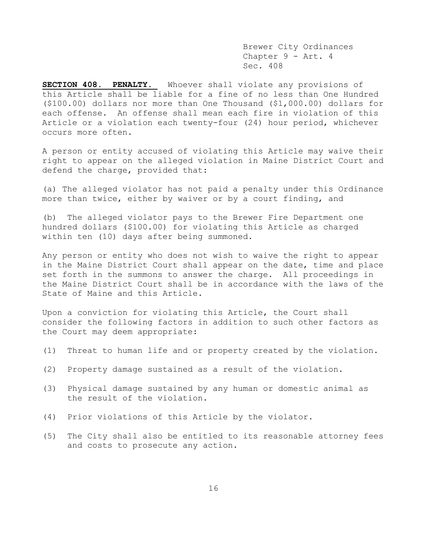Brewer City Ordinances Chapter 9 - Art. 4 Sec. 408

**SECTION 408. PENALTY.** Whoever shall violate any provisions of this Article shall be liable for a fine of no less than One Hundred (\$100.00) dollars nor more than One Thousand (\$1,000.00) dollars for each offense. An offense shall mean each fire in violation of this Article or a violation each twenty-four (24) hour period, whichever occurs more often.

A person or entity accused of violating this Article may waive their right to appear on the alleged violation in Maine District Court and defend the charge, provided that:

(a) The alleged violator has not paid a penalty under this Ordinance more than twice, either by waiver or by a court finding, and

(b) The alleged violator pays to the Brewer Fire Department one hundred dollars (\$100.00) for violating this Article as charged within ten (10) days after being summoned.

Any person or entity who does not wish to waive the right to appear in the Maine District Court shall appear on the date, time and place set forth in the summons to answer the charge. All proceedings in the Maine District Court shall be in accordance with the laws of the State of Maine and this Article.

Upon a conviction for violating this Article, the Court shall consider the following factors in addition to such other factors as the Court may deem appropriate:

- (1) Threat to human life and or property created by the violation.
- (2) Property damage sustained as a result of the violation.
- (3) Physical damage sustained by any human or domestic animal as the result of the violation.
- (4) Prior violations of this Article by the violator.
- (5) The City shall also be entitled to its reasonable attorney fees and costs to prosecute any action.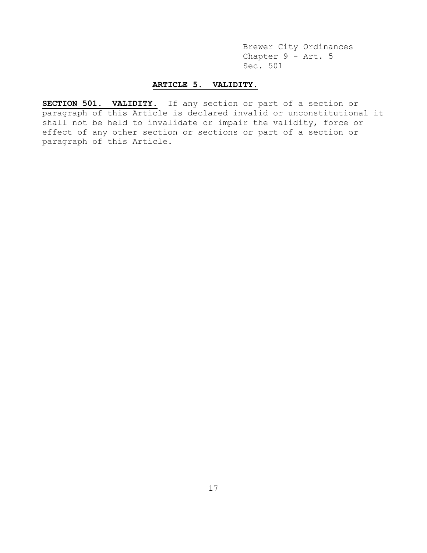Brewer City Ordinances Chapter 9 - Art. 5 Sec. 501

# **ARTICLE 5. VALIDITY.**

**SECTION 501. VALIDITY.** If any section or part of a section or paragraph of this Article is declared invalid or unconstitutional it shall not be held to invalidate or impair the validity, force or effect of any other section or sections or part of a section or paragraph of this Article.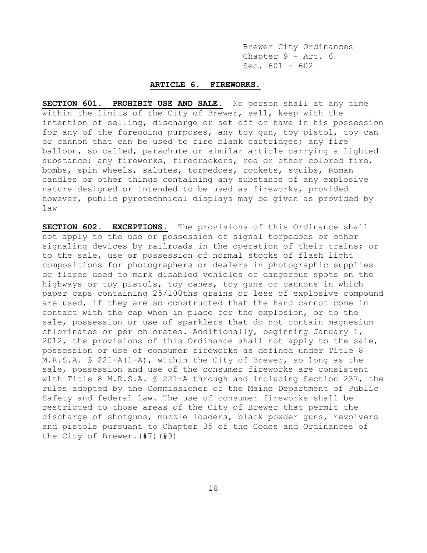Brewer City Ordinances Chapter 9 - Art. 6 Sec.  $601 - 602$ 

## **ARTICLE 6. FIREWORKS.**

**SECTION 601. PROHIBIT USE AND SALE.** No person shall at any time within the limits of the City of Brewer, sell, keep with the intention of selling, discharge or set off or have in his possession for any of the foregoing purposes, any toy gun, toy pistol, toy can or cannon that can be used to fire blank cartridges; any fire balloon, so called, parachute or similar article carrying a lighted substance; any fireworks, firecrackers, red or other colored fire, bombs, spin wheels, salutes, torpedoes, rockets, squibs, Roman candles or other things containing any substance of any explosive nature designed or intended to be used as fireworks, provided however, public pyrotechnical displays may be given as provided by law

**SECTION 602. EXCEPTIONS.** The provisions of this Ordinance shall not apply to the use or possession of signal torpedoes or other signaling devices by railroads in the operation of their trains; or to the sale, use or possession of normal stocks of flash light compositions for photographers or dealers in photographic supplies or flares used to mark disabled vehicles or dangerous spots on the highways or toy pistols, toy canes, toy guns or cannons in which paper caps containing 25/100ths grains or less of explosive compound are used, if they are so constructed that the hand cannot come in contact with the cap when in place for the explosion, or to the sale, possession or use of sparklers that do not contain magnesium chlorinates or per chlorates. Additionally, beginning January 1, 2012, the provisions of this Ordinance shall not apply to the sale, possession or use of consumer fireworks as defined under Title 8 M.R.S.A. § 221-A(1-A), within the City of Brewer, so long as the sale, possession and use of the consumer fireworks are consistent with Title 8 M.R.S.A. § 221-A through and including Section 237, the rules adopted by the Commissioner of the Maine Department of Public Safety and federal law. The use of consumer fireworks shall be restricted to those areas of the City of Brewer that permit the discharge of shotguns, muzzle loaders, black powder guns, revolvers and pistols pursuant to Chapter 35 of the Codes and Ordinances of the City of Brewer.(#7)(#9)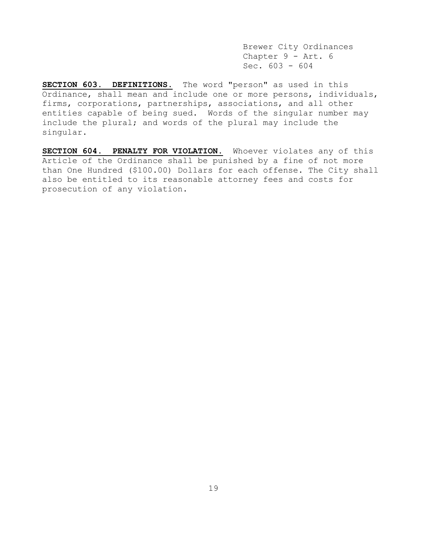Brewer City Ordinances Chapter 9 - Art. 6 Sec. 603 - 604

**SECTION 603. DEFINITIONS.** The word "person" as used in this Ordinance, shall mean and include one or more persons, individuals, firms, corporations, partnerships, associations, and all other entities capable of being sued. Words of the singular number may include the plural; and words of the plural may include the singular.

**SECTION 604. PENALTY FOR VIOLATION.** Whoever violates any of this Article of the Ordinance shall be punished by a fine of not more than One Hundred (\$100.00) Dollars for each offense. The City shall also be entitled to its reasonable attorney fees and costs for prosecution of any violation.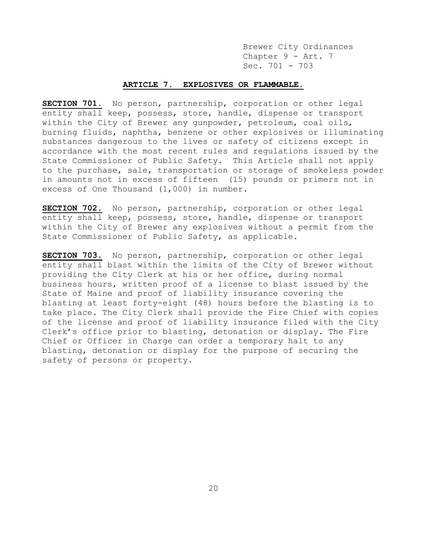Brewer City Ordinances Chapter 9 - Art. 7 Sec. 701 - 703

## **ARTICLE 7. EXPLOSIVES OR FLAMMABLE.**

**SECTION 701**. No person, partnership, corporation or other legal entity shall keep, possess, store, handle, dispense or transport within the City of Brewer any gunpowder, petroleum, coal oils, burning fluids, naphtha, benzene or other explosives or illuminating substances dangerous to the lives or safety of citizens except in accordance with the most recent rules and regulations issued by the State Commissioner of Public Safety. This Article shall not apply to the purchase, sale, transportation or storage of smokeless powder in amounts not in excess of fifteen (15) pounds or primers not in excess of One Thousand (1,000) in number.

**SECTION 702.** No person, partnership, corporation or other legal entity shall keep, possess, store, handle, dispense or transport within the City of Brewer any explosives without a permit from the State Commissioner of Public Safety, as applicable.

**SECTION 703.** No person, partnership, corporation or other legal entity shall blast within the limits of the City of Brewer without providing the City Clerk at his or her office, during normal business hours, written proof of a license to blast issued by the State of Maine and proof of liability insurance covering the blasting at least forty-eight (48) hours before the blasting is to take place. The City Clerk shall provide the Fire Chief with copies of the license and proof of liability insurance filed with the City Clerk's office prior to blasting, detonation or display. The Fire Chief or Officer in Charge can order a temporary halt to any blasting, detonation or display for the purpose of securing the safety of persons or property.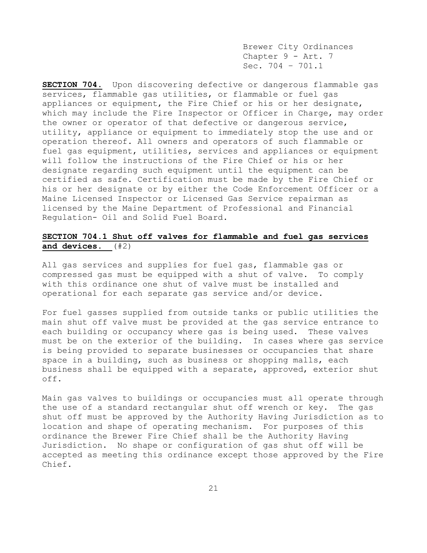Brewer City Ordinances Chapter 9 - Art. 7 Sec. 704 – 701.1

**SECTION 704.** Upon discovering defective or dangerous flammable gas services, flammable gas utilities, or flammable or fuel gas appliances or equipment, the Fire Chief or his or her designate, which may include the Fire Inspector or Officer in Charge, may order the owner or operator of that defective or dangerous service, utility, appliance or equipment to immediately stop the use and or operation thereof. All owners and operators of such flammable or fuel gas equipment, utilities, services and appliances or equipment will follow the instructions of the Fire Chief or his or her designate regarding such equipment until the equipment can be certified as safe. Certification must be made by the Fire Chief or his or her designate or by either the Code Enforcement Officer or a Maine Licensed Inspector or Licensed Gas Service repairman as licensed by the Maine Department of Professional and Financial Regulation- Oil and Solid Fuel Board.

# **SECTION 704.1 Shut off valves for flammable and fuel gas services and devices.** (#2)

All gas services and supplies for fuel gas, flammable gas or compressed gas must be equipped with a shut of valve. To comply with this ordinance one shut of valve must be installed and operational for each separate gas service and/or device.

For fuel gasses supplied from outside tanks or public utilities the main shut off valve must be provided at the gas service entrance to each building or occupancy where gas is being used. These valves must be on the exterior of the building. In cases where gas service is being provided to separate businesses or occupancies that share space in a building, such as business or shopping malls, each business shall be equipped with a separate, approved, exterior shut off.

Main gas valves to buildings or occupancies must all operate through the use of a standard rectangular shut off wrench or key. The gas shut off must be approved by the Authority Having Jurisdiction as to location and shape of operating mechanism. For purposes of this ordinance the Brewer Fire Chief shall be the Authority Having Jurisdiction. No shape or configuration of gas shut off will be accepted as meeting this ordinance except those approved by the Fire Chief.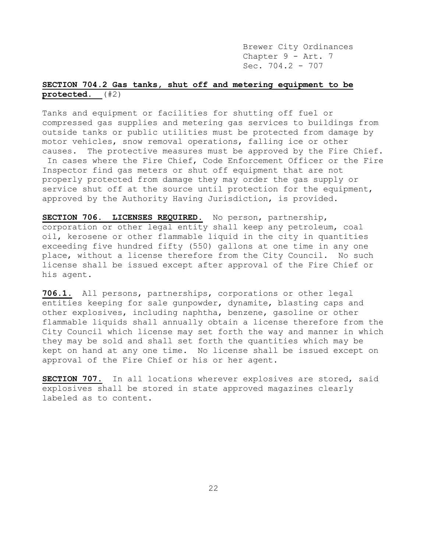Brewer City Ordinances Chapter 9 - Art. 7 Sec. 704.2 - 707

# **SECTION 704.2 Gas tanks, shut off and metering equipment to be protected.** (#2)

Tanks and equipment or facilities for shutting off fuel or compressed gas supplies and metering gas services to buildings from outside tanks or public utilities must be protected from damage by motor vehicles, snow removal operations, falling ice or other causes. The protective measures must be approved by the Fire Chief. In cases where the Fire Chief, Code Enforcement Officer or the Fire Inspector find gas meters or shut off equipment that are not properly protected from damage they may order the gas supply or service shut off at the source until protection for the equipment, approved by the Authority Having Jurisdiction, is provided.

**SECTION 706. LICENSES REQUIRED.** No person, partnership, corporation or other legal entity shall keep any petroleum, coal oil, kerosene or other flammable liquid in the city in quantities exceeding five hundred fifty (550) gallons at one time in any one place, without a license therefore from the City Council. No such license shall be issued except after approval of the Fire Chief or his agent.

**706.1.** All persons, partnerships, corporations or other legal entities keeping for sale gunpowder, dynamite, blasting caps and other explosives, including naphtha, benzene, gasoline or other flammable liquids shall annually obtain a license therefore from the City Council which license may set forth the way and manner in which they may be sold and shall set forth the quantities which may be kept on hand at any one time. No license shall be issued except on approval of the Fire Chief or his or her agent.

**SECTION 707.** In all locations wherever explosives are stored, said explosives shall be stored in state approved magazines clearly labeled as to content.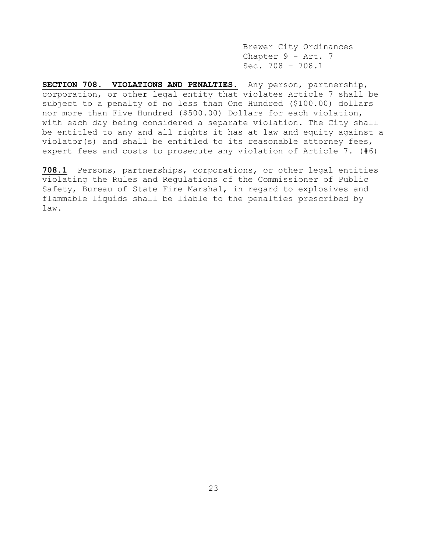Brewer City Ordinances Chapter 9 - Art. 7 Sec. 708 – 708.1

**SECTION 708. VIOLATIONS AND PENALTIES.** Any person, partnership, corporation, or other legal entity that violates Article 7 shall be subject to a penalty of no less than One Hundred (\$100.00) dollars nor more than Five Hundred (\$500.00) Dollars for each violation, with each day being considered a separate violation. The City shall be entitled to any and all rights it has at law and equity against a violator(s) and shall be entitled to its reasonable attorney fees, expert fees and costs to prosecute any violation of Article 7. (#6)

**708.1** Persons, partnerships, corporations, or other legal entities violating the Rules and Regulations of the Commissioner of Public Safety, Bureau of State Fire Marshal, in regard to explosives and flammable liquids shall be liable to the penalties prescribed by law.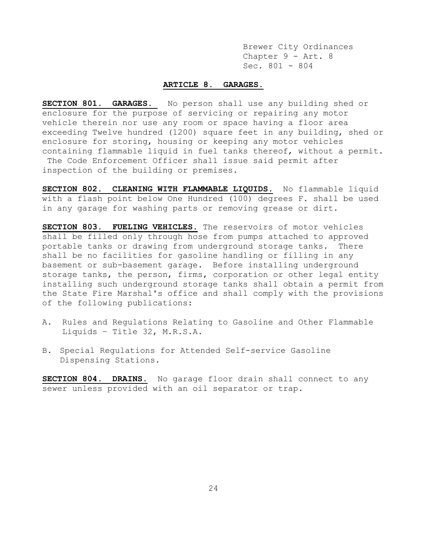Brewer City Ordinances Chapter 9 - Art. 8 Sec. 801 - 804

# **ARTICLE 8. GARAGES.**

**SECTION 801. GARAGES.** No person shall use any building shed or enclosure for the purpose of servicing or repairing any motor vehicle therein nor use any room or space having a floor area exceeding Twelve hundred (1200) square feet in any building, shed or enclosure for storing, housing or keeping any motor vehicles containing flammable liquid in fuel tanks thereof, without a permit. The Code Enforcement Officer shall issue said permit after inspection of the building or premises.

**SECTION 802. CLEANING WITH FLAMMABLE LIQUIDS.** No flammable liquid with a flash point below One Hundred (100) degrees F. shall be used in any garage for washing parts or removing grease or dirt.

**SECTION 803. FUELING VEHICLES.** The reservoirs of motor vehicles shall be filled only through hose from pumps attached to approved portable tanks or drawing from underground storage tanks. There shall be no facilities for gasoline handling or filling in any basement or sub-basement garage. Before installing underground storage tanks, the person, firms, corporation or other legal entity installing such underground storage tanks shall obtain a permit from the State Fire Marshal's office and shall comply with the provisions of the following publications:

- A. Rules and Regulations Relating to Gasoline and Other Flammable Liquids – Title 32, M.R.S.A.
- B. Special Regulations for Attended Self-service Gasoline Dispensing Stations.

**SECTION 804. DRAINS.** No garage floor drain shall connect to any sewer unless provided with an oil separator or trap.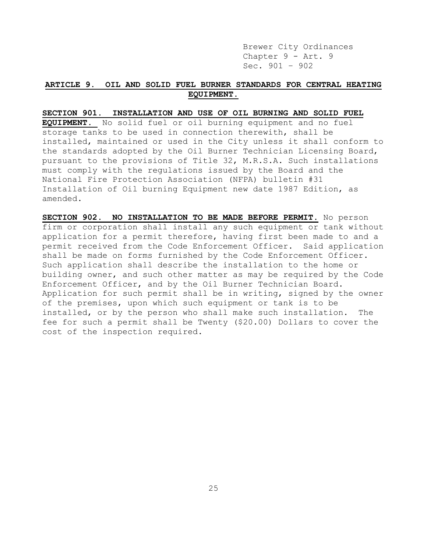Brewer City Ordinances Chapter 9 - Art. 9 Sec. 901 – 902

# **ARTICLE 9. OIL AND SOLID FUEL BURNER STANDARDS FOR CENTRAL HEATING EQUIPMENT.**

#### **SECTION 901. INSTALLATION AND USE OF OIL BURNING AND SOLID FUEL**

**EQUIPMENT.** No solid fuel or oil burning equipment and no fuel storage tanks to be used in connection therewith, shall be installed, maintained or used in the City unless it shall conform to the standards adopted by the Oil Burner Technician Licensing Board, pursuant to the provisions of Title 32, M.R.S.A. Such installations must comply with the regulations issued by the Board and the National Fire Protection Association (NFPA) bulletin #31 Installation of Oil burning Equipment new date 1987 Edition, as amended.

**SECTION 902. NO INSTALLATION TO BE MADE BEFORE PERMIT.** No person firm or corporation shall install any such equipment or tank without application for a permit therefore, having first been made to and a permit received from the Code Enforcement Officer. Said application shall be made on forms furnished by the Code Enforcement Officer. Such application shall describe the installation to the home or building owner, and such other matter as may be required by the Code Enforcement Officer, and by the Oil Burner Technician Board. Application for such permit shall be in writing, signed by the owner of the premises, upon which such equipment or tank is to be installed, or by the person who shall make such installation. The fee for such a permit shall be Twenty (\$20.00) Dollars to cover the cost of the inspection required.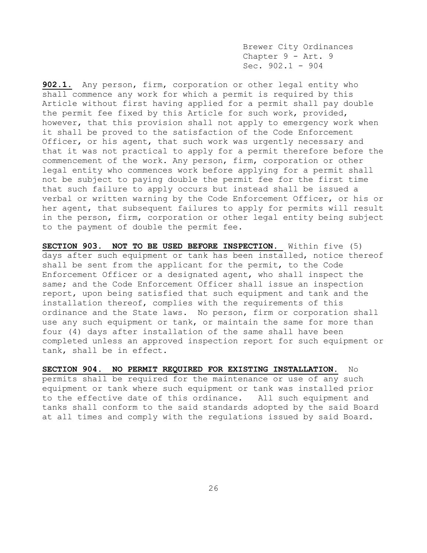Brewer City Ordinances Chapter 9 - Art. 9 Sec. 902.1 - 904

**902.1.** Any person, firm, corporation or other legal entity who shall commence any work for which a permit is required by this Article without first having applied for a permit shall pay double the permit fee fixed by this Article for such work, provided, however, that this provision shall not apply to emergency work when it shall be proved to the satisfaction of the Code Enforcement Officer, or his agent, that such work was urgently necessary and that it was not practical to apply for a permit therefore before the commencement of the work. Any person, firm, corporation or other legal entity who commences work before applying for a permit shall not be subject to paying double the permit fee for the first time that such failure to apply occurs but instead shall be issued a verbal or written warning by the Code Enforcement Officer, or his or her agent, that subsequent failures to apply for permits will result in the person, firm, corporation or other legal entity being subject to the payment of double the permit fee.

**SECTION 903. NOT TO BE USED BEFORE INSPECTION.** Within five (5) days after such equipment or tank has been installed, notice thereof shall be sent from the applicant for the permit, to the Code Enforcement Officer or a designated agent, who shall inspect the same; and the Code Enforcement Officer shall issue an inspection report, upon being satisfied that such equipment and tank and the installation thereof, complies with the requirements of this ordinance and the State laws. No person, firm or corporation shall use any such equipment or tank, or maintain the same for more than four (4) days after installation of the same shall have been completed unless an approved inspection report for such equipment or tank, shall be in effect.

**SECTION 904. NO PERMIT REQUIRED FOR EXISTING INSTALLATION.** No permits shall be required for the maintenance or use of any such equipment or tank where such equipment or tank was installed prior to the effective date of this ordinance. All such equipment and tanks shall conform to the said standards adopted by the said Board at all times and comply with the regulations issued by said Board.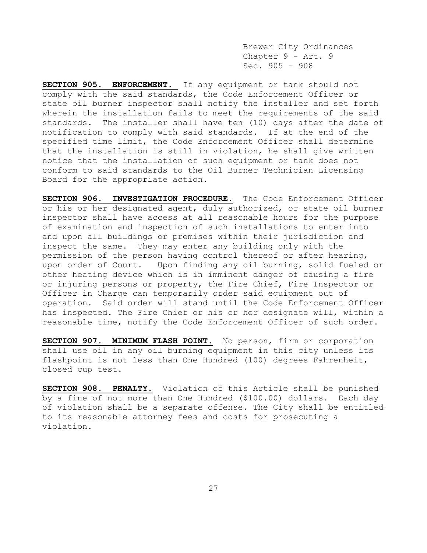Brewer City Ordinances Chapter 9 - Art. 9 Sec. 905 – 908

**SECTION 905. ENFORCEMENT.** If any equipment or tank should not comply with the said standards, the Code Enforcement Officer or state oil burner inspector shall notify the installer and set forth wherein the installation fails to meet the requirements of the said standards. The installer shall have ten (10) days after the date of notification to comply with said standards. If at the end of the specified time limit, the Code Enforcement Officer shall determine that the installation is still in violation, he shall give written notice that the installation of such equipment or tank does not conform to said standards to the Oil Burner Technician Licensing Board for the appropriate action.

**SECTION 906. INVESTIGATION PROCEDURE.** The Code Enforcement Officer or his or her designated agent, duly authorized, or state oil burner inspector shall have access at all reasonable hours for the purpose of examination and inspection of such installations to enter into and upon all buildings or premises within their jurisdiction and inspect the same. They may enter any building only with the permission of the person having control thereof or after hearing, upon order of Court. Upon finding any oil burning, solid fueled or other heating device which is in imminent danger of causing a fire or injuring persons or property, the Fire Chief, Fire Inspector or Officer in Charge can temporarily order said equipment out of operation. Said order will stand until the Code Enforcement Officer has inspected. The Fire Chief or his or her designate will, within a reasonable time, notify the Code Enforcement Officer of such order.

**SECTION 907. MINIMUM FLASH POINT.** No person, firm or corporation shall use oil in any oil burning equipment in this city unless its flashpoint is not less than One Hundred (100) degrees Fahrenheit, closed cup test.

**SECTION 908. PENALTY.** Violation of this Article shall be punished by a fine of not more than One Hundred (\$100.00) dollars. Each day of violation shall be a separate offense. The City shall be entitled to its reasonable attorney fees and costs for prosecuting a violation.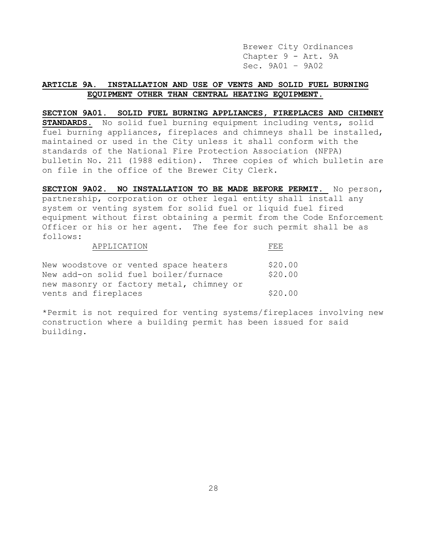Brewer City Ordinances Chapter 9 - Art. 9A Sec. 9A01 – 9A02

# **ARTICLE 9A. INSTALLATION AND USE OF VENTS AND SOLID FUEL BURNING EQUIPMENT OTHER THAN CENTRAL HEATING EQUIPMENT.**

# **SECTION 9A01. SOLID FUEL BURNING APPLIANCES, FIREPLACES AND CHIMNEY**

**STANDARDS.** No solid fuel burning equipment including vents, solid fuel burning appliances, fireplaces and chimneys shall be installed, maintained or used in the City unless it shall conform with the standards of the National Fire Protection Association (NFPA) bulletin No. 211 (1988 edition). Three copies of which bulletin are on file in the office of the Brewer City Clerk.

**SECTION 9A02. NO INSTALLATION TO BE MADE BEFORE PERMIT.** No person, partnership, corporation or other legal entity shall install any system or venting system for solid fuel or liquid fuel fired equipment without first obtaining a permit from the Code Enforcement Officer or his or her agent. The fee for such permit shall be as follows: A PDI TOAMTON

| APPLICATION                              | LE PIPI |
|------------------------------------------|---------|
| New woodstove or vented space heaters    | \$20.00 |
| New add-on solid fuel boiler/furnace     | \$20.00 |
| new masonry or factory metal, chimney or |         |
| vents and fireplaces                     | \$20.00 |

\*Permit is not required for venting systems/fireplaces involving new construction where a building permit has been issued for said building.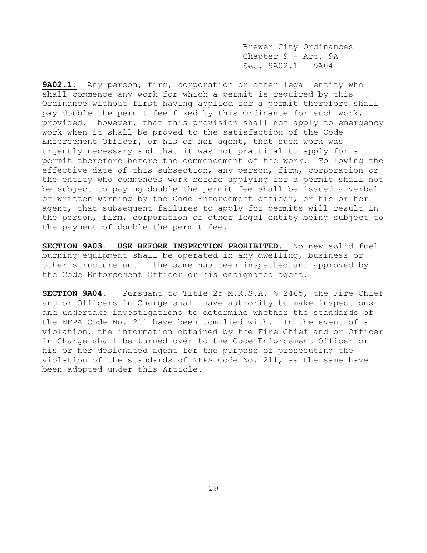Brewer City Ordinances Chapter 9 - Art. 9A Sec. 9A02.1 – 9A04

**9A02.1.** Any person, firm, corporation or other legal entity who shall commence any work for which a permit is required by this Ordinance without first having applied for a permit therefore shall pay double the permit fee fixed by this Ordinance for such work, provided, however, that this provision shall not apply to emergency work when it shall be proved to the satisfaction of the Code Enforcement Officer, or his or her agent, that such work was urgently necessary and that it was not practical to apply for a permit therefore before the commencement of the work. Following the effective date of this subsection, any person, firm, corporation or the entity who commences work before applying for a permit shall not be subject to paying double the permit fee shall be issued a verbal or written warning by the Code Enforcement officer, or his or her agent, that subsequent failures to apply for permits will result in the person, firm, corporation or other legal entity being subject to the payment of double the permit fee.

**SECTION 9A03. USE BEFORE INSPECTION PROHIBITED**. No new solid fuel burning equipment shall be operated in any dwelling, business or other structure until the same has been inspected and approved by the Code Enforcement Officer or his designated agent.

**SECTION 9A04.** Pursuant to Title 25 M.R.S.A. § 2465, the Fire Chief and or Officers in Charge shall have authority to make inspections and undertake investigations to determine whether the standards of the NFPA Code No. 211 have been complied with. In the event of a violation, the information obtained by the Fire Chief and or Officer in Charge shall be turned over to the Code Enforcement Officer or his or her designated agent for the purpose of prosecuting the violation of the standards of NFPA Code No. 211, as the same have been adopted under this Article.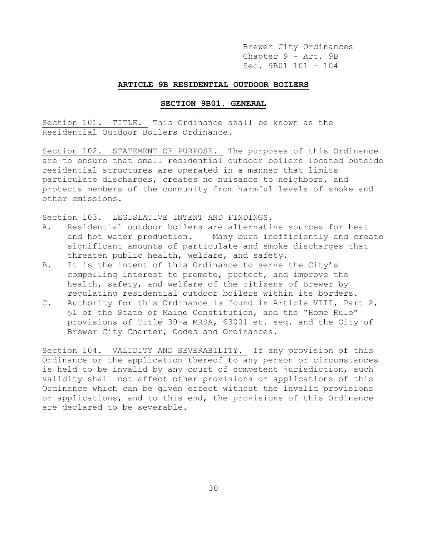Brewer City Ordinances Chapter 9 - Art. 9B Sec. 9B01 101 - 104

# **ARTICLE 9B RESIDENTIAL OUTDOOR BOILERS**

# **SECTION 9B01. GENERAL**

Section 101. TITLE. This Ordinance shall be known as the Residential Outdoor Boilers Ordinance.

Section 102. STATEMENT OF PURPOSE. The purposes of this Ordinance are to ensure that small residential outdoor boilers located outside residential structures are operated in a manner that limits particulate discharges, creates no nuisance to neighbors, and protects members of the community from harmful levels of smoke and other emissions.

Section 103. LEGISLATIVE INTENT AND FINDINGS.

- A. Residential outdoor boilers are alternative sources for heat and hot water production. Many burn inefficiently and create significant amounts of particulate and smoke discharges that threaten public health, welfare, and safety.
- B. It is the intent of this Ordinance to serve the City's compelling interest to promote, protect, and improve the health, safety, and welfare of the citizens of Brewer by regulating residential outdoor boilers within its borders.
- C. Authority for this Ordinance is found in Article VIII, Part 2, §1 of the State of Maine Constitution, and the "Home Rule" provisions of Title 30-a MRSA, §3001 et. seq. and the City of Brewer City Charter, Codes and Ordinances.

Section 104. VALIDITY AND SEVERABILITY. If any provision of this Ordinance or the application thereof to any person or circumstances is held to be invalid by any court of competent jurisdiction, such validity shall not affect other provisions or applications of this Ordinance which can be given effect without the invalid provisions or applications, and to this end, the provisions of this Ordinance are declared to be severable.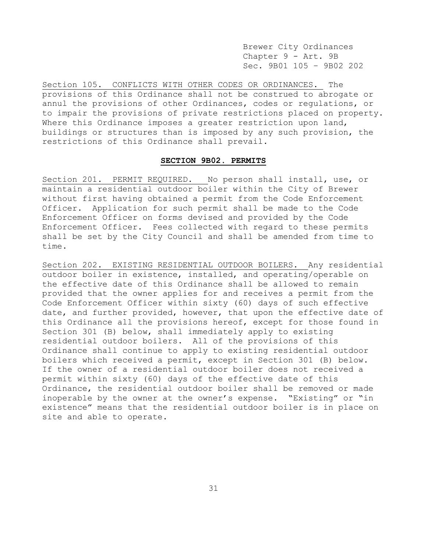Brewer City Ordinances Chapter 9 - Art. 9B Sec. 9B01 105 – 9B02 202

Section 105. CONFLICTS WITH OTHER CODES OR ORDINANCES. The provisions of this Ordinance shall not be construed to abrogate or annul the provisions of other Ordinances, codes or regulations, or to impair the provisions of private restrictions placed on property. Where this Ordinance imposes a greater restriction upon land, buildings or structures than is imposed by any such provision, the restrictions of this Ordinance shall prevail.

## **SECTION 9B02. PERMITS**

Section 201. PERMIT REQUIRED. No person shall install, use, or maintain a residential outdoor boiler within the City of Brewer without first having obtained a permit from the Code Enforcement Officer. Application for such permit shall be made to the Code Enforcement Officer on forms devised and provided by the Code Enforcement Officer. Fees collected with regard to these permits shall be set by the City Council and shall be amended from time to time.

Section 202. EXISTING RESIDENTIAL OUTDOOR BOILERS. Any residential outdoor boiler in existence, installed, and operating/operable on the effective date of this Ordinance shall be allowed to remain provided that the owner applies for and receives a permit from the Code Enforcement Officer within sixty (60) days of such effective date, and further provided, however, that upon the effective date of this Ordinance all the provisions hereof, except for those found in Section 301 (B) below, shall immediately apply to existing residential outdoor boilers. All of the provisions of this Ordinance shall continue to apply to existing residential outdoor boilers which received a permit, except in Section 301 (B) below. If the owner of a residential outdoor boiler does not received a permit within sixty (60) days of the effective date of this Ordinance, the residential outdoor boiler shall be removed or made inoperable by the owner at the owner's expense. "Existing" or "in existence" means that the residential outdoor boiler is in place on site and able to operate.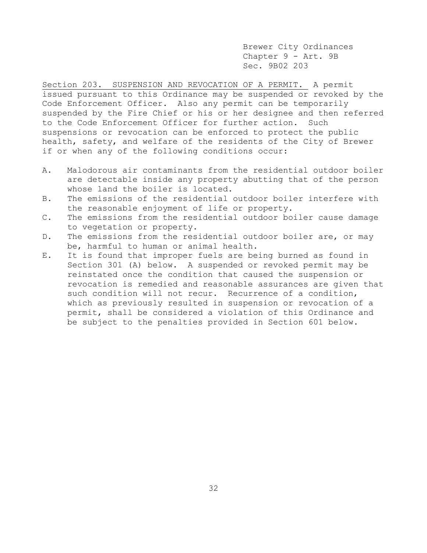Brewer City Ordinances Chapter 9 - Art. 9B Sec. 9B02 203

Section 203. SUSPENSION AND REVOCATION OF A PERMIT. A permit issued pursuant to this Ordinance may be suspended or revoked by the Code Enforcement Officer. Also any permit can be temporarily suspended by the Fire Chief or his or her designee and then referred to the Code Enforcement Officer for further action. Such suspensions or revocation can be enforced to protect the public health, safety, and welfare of the residents of the City of Brewer if or when any of the following conditions occur:

- A. Malodorous air contaminants from the residential outdoor boiler are detectable inside any property abutting that of the person whose land the boiler is located.
- B. The emissions of the residential outdoor boiler interfere with the reasonable enjoyment of life or property.
- C. The emissions from the residential outdoor boiler cause damage to vegetation or property.
- D. The emissions from the residential outdoor boiler are, or may be, harmful to human or animal health.
- E. It is found that improper fuels are being burned as found in Section 301 (A) below. A suspended or revoked permit may be reinstated once the condition that caused the suspension or revocation is remedied and reasonable assurances are given that such condition will not recur. Recurrence of a condition, which as previously resulted in suspension or revocation of a permit, shall be considered a violation of this Ordinance and be subject to the penalties provided in Section 601 below.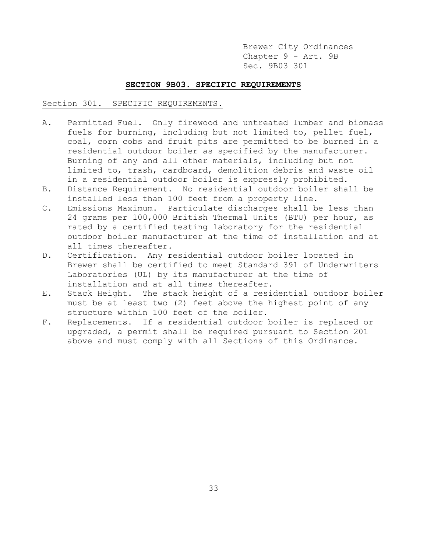Brewer City Ordinances Chapter 9 - Art. 9B Sec. 9B03 301

## **SECTION 9B03. SPECIFIC REQUIREMENTS**

### Section 301. SPECIFIC REQUIREMENTS.

- A. Permitted Fuel. Only firewood and untreated lumber and biomass fuels for burning, including but not limited to, pellet fuel, coal, corn cobs and fruit pits are permitted to be burned in a residential outdoor boiler as specified by the manufacturer. Burning of any and all other materials, including but not limited to, trash, cardboard, demolition debris and waste oil in a residential outdoor boiler is expressly prohibited.
- B. Distance Requirement. No residential outdoor boiler shall be installed less than 100 feet from a property line.
- C. Emissions Maximum. Particulate discharges shall be less than 24 grams per 100,000 British Thermal Units (BTU) per hour, as rated by a certified testing laboratory for the residential outdoor boiler manufacturer at the time of installation and at all times thereafter.
- D. Certification. Any residential outdoor boiler located in Brewer shall be certified to meet Standard 391 of Underwriters Laboratories (UL) by its manufacturer at the time of installation and at all times thereafter.
- E. Stack Height. The stack height of a residential outdoor boiler must be at least two (2) feet above the highest point of any structure within 100 feet of the boiler.
- F. Replacements. If a residential outdoor boiler is replaced or upgraded, a permit shall be required pursuant to Section 201 above and must comply with all Sections of this Ordinance.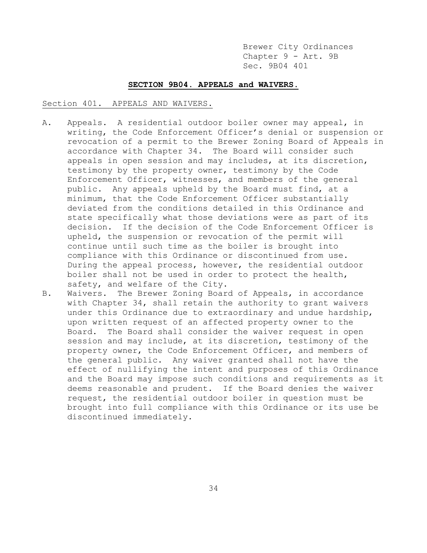Brewer City Ordinances Chapter 9 - Art. 9B Sec. 9B04 401

# **SECTION 9B04. APPEALS and WAIVERS.**

## Section 401. APPEALS AND WAIVERS.

- A. Appeals. A residential outdoor boiler owner may appeal, in writing, the Code Enforcement Officer's denial or suspension or revocation of a permit to the Brewer Zoning Board of Appeals in accordance with Chapter 34. The Board will consider such appeals in open session and may includes, at its discretion, testimony by the property owner, testimony by the Code Enforcement Officer, witnesses, and members of the general public. Any appeals upheld by the Board must find, at a minimum, that the Code Enforcement Officer substantially deviated from the conditions detailed in this Ordinance and state specifically what those deviations were as part of its decision. If the decision of the Code Enforcement Officer is upheld, the suspension or revocation of the permit will continue until such time as the boiler is brought into compliance with this Ordinance or discontinued from use. During the appeal process, however, the residential outdoor boiler shall not be used in order to protect the health, safety, and welfare of the City.
- B. Waivers. The Brewer Zoning Board of Appeals, in accordance with Chapter 34, shall retain the authority to grant waivers under this Ordinance due to extraordinary and undue hardship, upon written request of an affected property owner to the Board. The Board shall consider the waiver request in open session and may include, at its discretion, testimony of the property owner, the Code Enforcement Officer, and members of the general public. Any waiver granted shall not have the effect of nullifying the intent and purposes of this Ordinance and the Board may impose such conditions and requirements as it deems reasonable and prudent. If the Board denies the waiver request, the residential outdoor boiler in question must be brought into full compliance with this Ordinance or its use be discontinued immediately.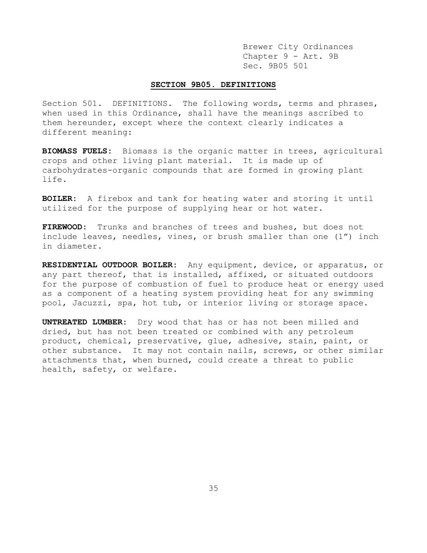Brewer City Ordinances Chapter 9 - Art. 9B Sec. 9B05 501

# **SECTION 9B05. DEFINITIONS**

Section 501. DEFINITIONS. The following words, terms and phrases, when used in this Ordinance, shall have the meanings ascribed to them hereunder, except where the context clearly indicates a different meaning:

**BIOMASS FUELS:** Biomass is the organic matter in trees, agricultural crops and other living plant material. It is made up of carbohydrates-organic compounds that are formed in growing plant life.

**BOILER:** A firebox and tank for heating water and storing it until utilized for the purpose of supplying hear or hot water.

**FIREWOOD:** Trunks and branches of trees and bushes, but does not include leaves, needles, vines, or brush smaller than one (1") inch in diameter.

**RESIDENTIAL OUTDOOR BOILER:** Any equipment, device, or apparatus, or any part thereof, that is installed, affixed, or situated outdoors for the purpose of combustion of fuel to produce heat or energy used as a component of a heating system providing heat for any swimming pool, Jacuzzi, spa, hot tub, or interior living or storage space.

**UNTREATED LUMBER:** Dry wood that has or has not been milled and dried, but has not been treated or combined with any petroleum product, chemical, preservative, glue, adhesive, stain, paint, or other substance. It may not contain nails, screws, or other similar attachments that, when burned, could create a threat to public health, safety, or welfare.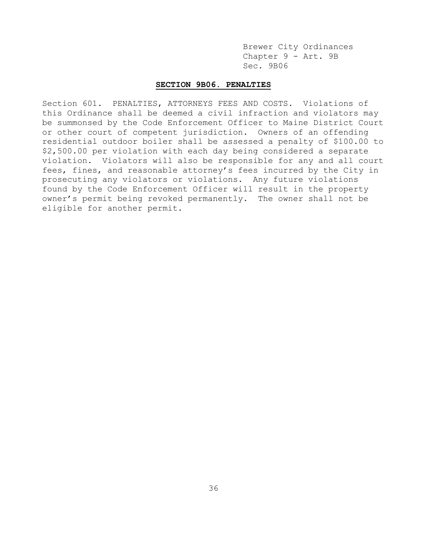Brewer City Ordinances Chapter 9 - Art. 9B Sec. 9B06

# **SECTION 9B06. PENALTIES**

Section 601. PENALTIES, ATTORNEYS FEES AND COSTS. Violations of this Ordinance shall be deemed a civil infraction and violators may be summonsed by the Code Enforcement Officer to Maine District Court or other court of competent jurisdiction. Owners of an offending residential outdoor boiler shall be assessed a penalty of \$100.00 to \$2,500.00 per violation with each day being considered a separate violation. Violators will also be responsible for any and all court fees, fines, and reasonable attorney's fees incurred by the City in prosecuting any violators or violations. Any future violations found by the Code Enforcement Officer will result in the property owner's permit being revoked permanently. The owner shall not be eligible for another permit.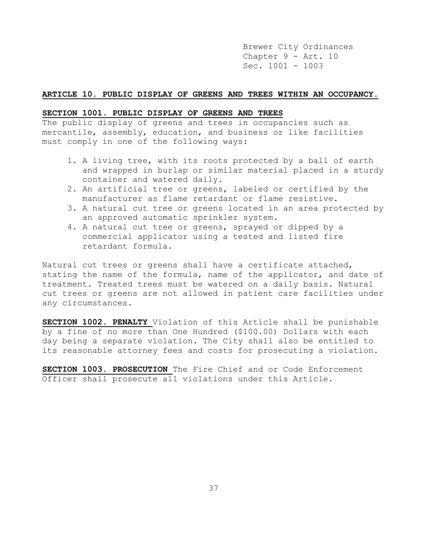Brewer City Ordinances Chapter 9 - Art. 10 Sec. 1001 - 1003

## **ARTICLE 10. PUBLIC DISPLAY OF GREENS AND TREES WITHIN AN OCCUPANCY.**

## **SECTION 1001. PUBLIC DISPLAY OF GREENS AND TREES**

The public display of greens and trees in occupancies such as mercantile, assembly, education, and business or like facilities must comply in one of the following ways:

- 1. A living tree, with its roots protected by a ball of earth and wrapped in burlap or similar material placed in a sturdy container and watered daily.
- 2. An artificial tree or greens, labeled or certified by the manufacturer as flame retardant or flame resistive.
- 3. A natural cut tree or greens located in an area protected by an approved automatic sprinkler system.
- 4. A natural cut tree or greens, sprayed or dipped by a commercial applicator using a tested and listed fire retardant formula.

Natural cut trees or greens shall have a certificate attached, stating the name of the formula, name of the applicator, and date of treatment. Treated trees must be watered on a daily basis. Natural cut trees or greens are not allowed in patient care facilities under any circumstances.

**SECTION 1002. PENALTY** Violation of this Article shall be punishable by a fine of no more than One Hundred (\$100.00) Dollars with each day being a separate violation. The City shall also be entitled to its reasonable attorney fees and costs for prosecuting a violation.

**SECTION 1003. PROSECUTION** The Fire Chief and or Code Enforcement Officer shall prosecute all violations under this Article.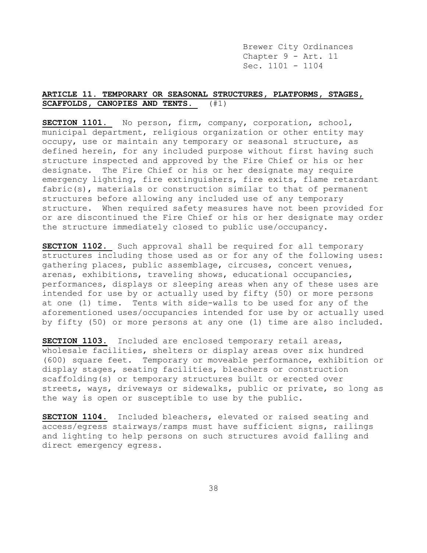Brewer City Ordinances Chapter 9 - Art. 11 Sec. 1101 - 1104

# **ARTICLE 11. TEMPORARY OR SEASONAL STRUCTURES, PLATFORMS, STAGES, SCAFFOLDS, CANOPIES AND TENTS.** (#1)

**SECTION 1101.** No person, firm, company, corporation, school, municipal department, religious organization or other entity may occupy, use or maintain any temporary or seasonal structure, as defined herein, for any included purpose without first having such structure inspected and approved by the Fire Chief or his or her designate. The Fire Chief or his or her designate may require emergency lighting, fire extinguishers, fire exits, flame retardant fabric(s), materials or construction similar to that of permanent structures before allowing any included use of any temporary structure. When required safety measures have not been provided for or are discontinued the Fire Chief or his or her designate may order the structure immediately closed to public use/occupancy.

**SECTION 1102.** Such approval shall be required for all temporary structures including those used as or for any of the following uses: gathering places, public assemblage, circuses, concert venues, arenas, exhibitions, traveling shows, educational occupancies, performances, displays or sleeping areas when any of these uses are intended for use by or actually used by fifty (50) or more persons at one (1) time. Tents with side-walls to be used for any of the aforementioned uses/occupancies intended for use by or actually used by fifty (50) or more persons at any one (1) time are also included.

**SECTION 1103.** Included are enclosed temporary retail areas, wholesale facilities, shelters or display areas over six hundred (600) square feet. Temporary or moveable performance, exhibition or display stages, seating facilities, bleachers or construction scaffolding(s) or temporary structures built or erected over streets, ways, driveways or sidewalks, public or private, so long as the way is open or susceptible to use by the public.

**SECTION 1104.** Included bleachers, elevated or raised seating and access/egress stairways/ramps must have sufficient signs, railings and lighting to help persons on such structures avoid falling and direct emergency egress.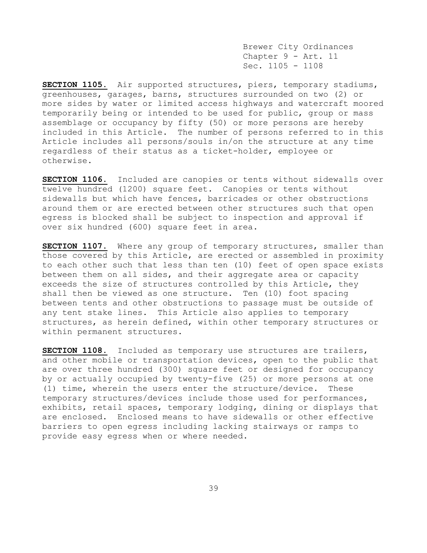Brewer City Ordinances Chapter 9 - Art. 11 Sec. 1105 - 1108

**SECTION 1105.** Air supported structures, piers, temporary stadiums, greenhouses, garages, barns, structures surrounded on two (2) or more sides by water or limited access highways and watercraft moored temporarily being or intended to be used for public, group or mass assemblage or occupancy by fifty (50) or more persons are hereby included in this Article. The number of persons referred to in this Article includes all persons/souls in/on the structure at any time regardless of their status as a ticket-holder, employee or otherwise.

**SECTION 1106.** Included are canopies or tents without sidewalls over twelve hundred (1200) square feet. Canopies or tents without sidewalls but which have fences, barricades or other obstructions around them or are erected between other structures such that open egress is blocked shall be subject to inspection and approval if over six hundred (600) square feet in area.

**SECTION 1107.** Where any group of temporary structures, smaller than those covered by this Article, are erected or assembled in proximity to each other such that less than ten (10) feet of open space exists between them on all sides, and their aggregate area or capacity exceeds the size of structures controlled by this Article, they shall then be viewed as one structure. Ten (10) foot spacing between tents and other obstructions to passage must be outside of any tent stake lines. This Article also applies to temporary structures, as herein defined, within other temporary structures or within permanent structures.

**SECTION 1108.** Included as temporary use structures are trailers, and other mobile or transportation devices, open to the public that are over three hundred (300) square feet or designed for occupancy by or actually occupied by twenty-five (25) or more persons at one (1) time, wherein the users enter the structure/device. These temporary structures/devices include those used for performances, exhibits, retail spaces, temporary lodging, dining or displays that are enclosed. Enclosed means to have sidewalls or other effective barriers to open egress including lacking stairways or ramps to provide easy egress when or where needed.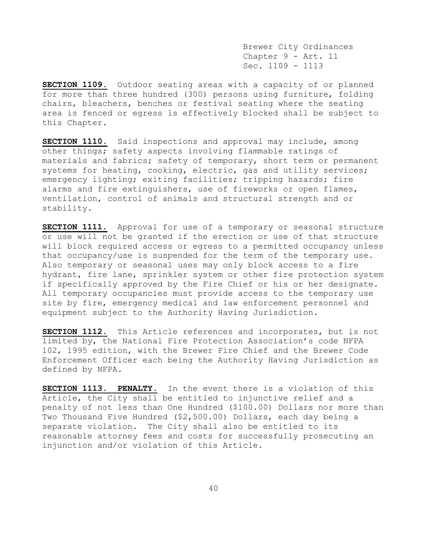Brewer City Ordinances Chapter 9 - Art. 11 Sec. 1109 - 1113

**SECTION 1109.** Outdoor seating areas with a capacity of or planned for more than three hundred (300) persons using furniture, folding chairs, bleachers, benches or festival seating where the seating area is fenced or egress is effectively blocked shall be subject to this Chapter.

**SECTION 1110.** Said inspections and approval may include, among other things; safety aspects involving flammable ratings of materials and fabrics; safety of temporary, short term or permanent systems for heating, cooking, electric, gas and utility services; emergency lighting; exiting facilities; tripping hazards; fire alarms and fire extinguishers, use of fireworks or open flames, ventilation, control of animals and structural strength and or stability.

**SECTION 1111.** Approval for use of a temporary or seasonal structure or use will not be granted if the erection or use of that structure will block required access or egress to a permitted occupancy unless that occupancy/use is suspended for the term of the temporary use. Also temporary or seasonal uses may only block access to a fire hydrant, fire lane, sprinkler system or other fire protection system if specifically approved by the Fire Chief or his or her designate. All temporary occupancies must provide access to the temporary use site by fire, emergency medical and law enforcement personnel and equipment subject to the Authority Having Jurisdiction.

**SECTION 1112.** This Article references and incorporates, but is not limited by, the National Fire Protection Association's code NFPA 102, 1995 edition, with the Brewer Fire Chief and the Brewer Code Enforcement Officer each being the Authority Having Jurisdiction as defined by NFPA.

**SECTION 1113. PENALTY.** In the event there is a violation of this Article, the City shall be entitled to injunctive relief and a penalty of not less than One Hundred (\$100.00) Dollars nor more than Two Thousand Five Hundred (\$2,500.00) Dollars, each day being a separate violation. The City shall also be entitled to its reasonable attorney fees and costs for successfully prosecuting an injunction and/or violation of this Article.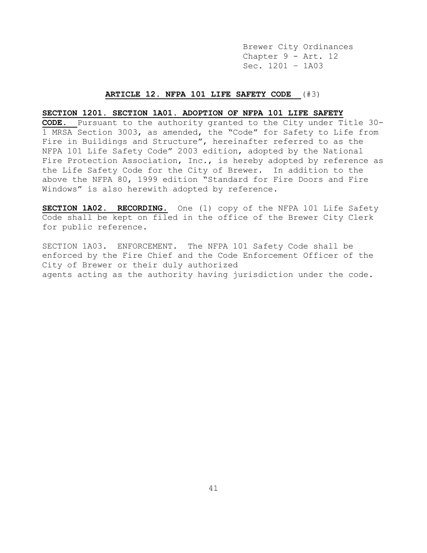Brewer City Ordinances Chapter 9 - Art. 12 Sec. 1201 – 1A03

### **ARTICLE 12. NFPA 101 LIFE SAFETY CODE** (#3)

# **SECTION 1201. SECTION 1A01. ADOPTION OF NFPA 101 LIFE SAFETY**

**CODE.** Pursuant to the authority granted to the City under Title 30- 1 MRSA Section 3003, as amended, the "Code" for Safety to Life from Fire in Buildings and Structure", hereinafter referred to as the NFPA 101 Life Safety Code" 2003 edition, adopted by the National Fire Protection Association, Inc., is hereby adopted by reference as the Life Safety Code for the City of Brewer. In addition to the above the NFPA 80, 1999 edition "Standard for Fire Doors and Fire Windows" is also herewith adopted by reference.

**SECTION 1A02. RECORDING.** One (1) copy of the NFPA 101 Life Safety Code shall be kept on filed in the office of the Brewer City Clerk for public reference.

SECTION 1A03. ENFORCEMENT. The NFPA 101 Safety Code shall be enforced by the Fire Chief and the Code Enforcement Officer of the City of Brewer or their duly authorized agents acting as the authority having jurisdiction under the code.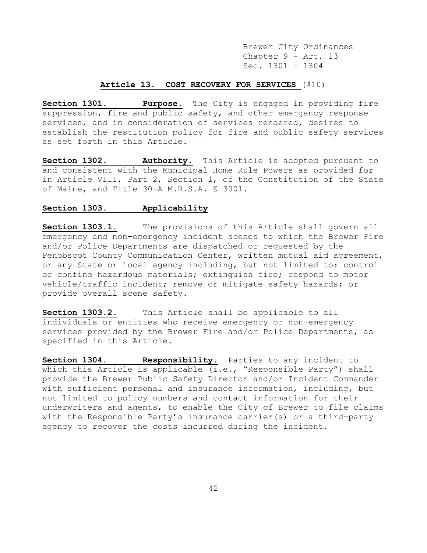Brewer City Ordinances Chapter 9 - Art. 13 Sec. 1301 – 1304

# **Article 13. COST RECOVERY FOR SERVICES** (#10)

**Section 1301. Purpose.** The City is engaged in providing fire suppression, fire and public safety, and other emergency response services, and in consideration of services rendered, desires to establish the restitution policy for fire and public safety services as set forth in this Article.

**Section 1302. Authority.** This Article is adopted pursuant to and consistent with the Municipal Home Rule Powers as provided for in Article VIII, Part 2, Section 1, of the Constitution of the State of Maine, and Title 30-A M.R.S.A. § 3001.

# **Section 1303. Applicability**

**Section 1303.1.** The provisions of this Article shall govern all emergency and non-emergency incident scenes to which the Brewer Fire and/or Police Departments are dispatched or requested by the Penobscot County Communication Center, written mutual aid agreement, or any State or local agency including, but not limited to: control or confine hazardous materials; extinguish fire; respond to motor vehicle/traffic incident; remove or mitigate safety hazards; or provide overall scene safety.

**Section 1303.2.** This Article shall be applicable to all individuals or entities who receive emergency or non-emergency services provided by the Brewer Fire and/or Police Departments, as specified in this Article.

**Section 1304. Responsibility.** Parties to any incident to which this Article is applicable (i.e., "Responsible Party") shall provide the Brewer Public Safety Director and/or Incident Commander with sufficient personal and insurance information, including, but not limited to policy numbers and contact information for their underwriters and agents, to enable the City of Brewer to file claims with the Responsible Party's insurance carrier(s) or a third-party agency to recover the costs incurred during the incident.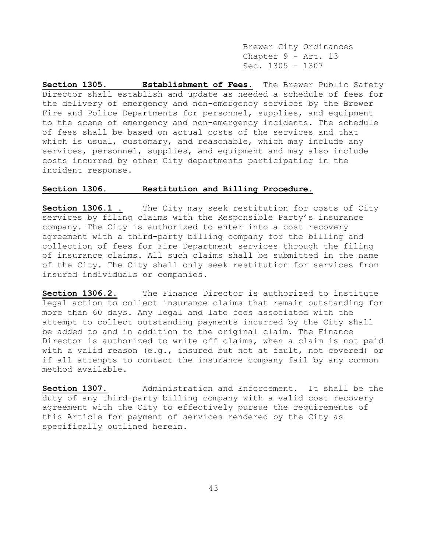Brewer City Ordinances Chapter 9 - Art. 13 Sec. 1305 – 1307

**Section 1305. Establishment of Fees.** The Brewer Public Safety Director shall establish and update as needed a schedule of fees for the delivery of emergency and non-emergency services by the Brewer Fire and Police Departments for personnel, supplies, and equipment to the scene of emergency and non-emergency incidents. The schedule of fees shall be based on actual costs of the services and that which is usual, customary, and reasonable, which may include any services, personnel, supplies, and equipment and may also include costs incurred by other City departments participating in the incident response.

# **Section 1306. Restitution and Billing Procedure.**

**Section 1306.1 .** The City may seek restitution for costs of City services by filing claims with the Responsible Party's insurance company. The City is authorized to enter into a cost recovery agreement with a third-party billing company for the billing and collection of fees for Fire Department services through the filing of insurance claims. All such claims shall be submitted in the name of the City. The City shall only seek restitution for services from insured individuals or companies.

**Section 1306.2.** The Finance Director is authorized to institute legal action to collect insurance claims that remain outstanding for more than 60 days. Any legal and late fees associated with the attempt to collect outstanding payments incurred by the City shall be added to and in addition to the original claim. The Finance Director is authorized to write off claims, when a claim is not paid with a valid reason (e.g., insured but not at fault, not covered) or if all attempts to contact the insurance company fail by any common method available.

**Section 1307.** Administration and Enforcement. It shall be the duty of any third-party billing company with a valid cost recovery agreement with the City to effectively pursue the requirements of this Article for payment of services rendered by the City as specifically outlined herein.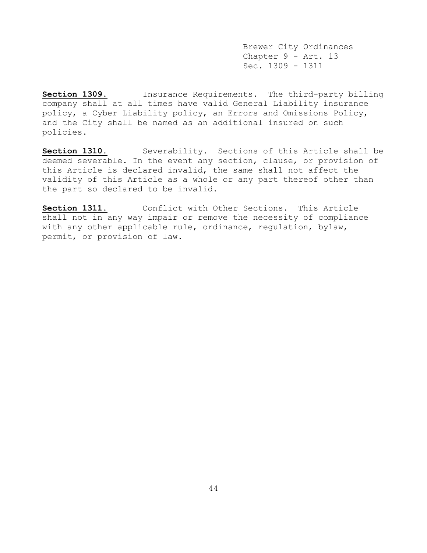Brewer City Ordinances Chapter 9 - Art. 13 Sec. 1309 - 1311

**Section 1309.** Insurance Requirements. The third-party billing company shall at all times have valid General Liability insurance policy, a Cyber Liability policy, an Errors and Omissions Policy, and the City shall be named as an additional insured on such policies.

Section 1310. Severability. Sections of this Article shall be deemed severable. In the event any section, clause, or provision of this Article is declared invalid, the same shall not affect the validity of this Article as a whole or any part thereof other than the part so declared to be invalid.

**Section 1311.** Conflict with Other Sections. This Article shall not in any way impair or remove the necessity of compliance with any other applicable rule, ordinance, regulation, bylaw, permit, or provision of law.